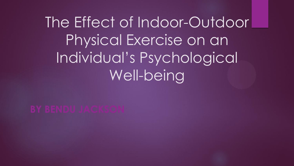# The Effect of Indoor-Outdoor Physical Exercise on an Individual's Psychological Well-being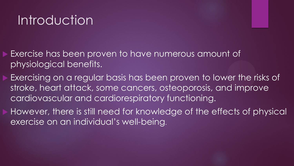## Introduction

- Exercise has been proven to have numerous amount of physiological benefits.
- Exercising on a regular basis has been proven to lower the risks of stroke, heart attack, some cancers, osteoporosis, and improve cardiovascular and cardiorespiratory functioning.
- However, there is still need for knowledge of the effects of physical exercise on an individual's well-being.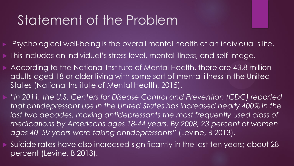#### Statement of the Problem

- Psychological well-being is the overall mental health of an individual's life.
- This includes an individual's stress level, mental illness, and self-image.
- According to the National Institute of Mental Health, there are 43.8 million adults aged 18 or older living with some sort of mental illness in the United States (National Institute of Mental Health, 2015).
	- *"In 2011, the U.S. Centers for Disease Control and Prevention (CDC) reported that antidepressant use in the United States has increased nearly 400% in the*  last two decades, making antidepressants the most frequently used class of *medications by Americans ages 18-44 years. By 2008, 23 percent of women ages 40–59 years were taking antidepressants"* (Levine, B 2013).
- Suicide rates have also increased significantly in the last ten years; about 28 percent (Levine, B 2013).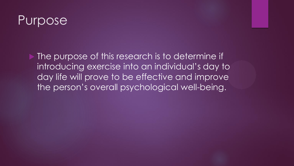#### Purpose

 The purpose of this research is to determine if introducing exercise into an individual's day to day life will prove to be effective and improve the person's overall psychological well-being.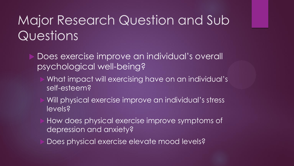## Major Research Question and Sub Questions

- Does exercise improve an individual's overall psychological well-being?
	- What impact will exercising have on an individual's self-esteem?
	- Will physical exercise improve an individual's stress levels?
	- How does physical exercise improve symptoms of depression and anxiety?
	- Does physical exercise elevate mood levels?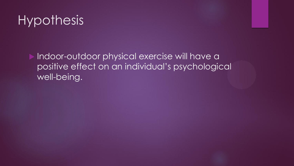### **Hypothesis**

 Indoor-outdoor physical exercise will have a positive effect on an individual's psychological well-being.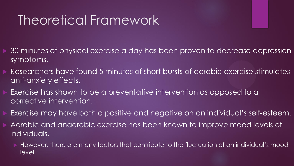## Theoretical Framework

- 30 minutes of physical exercise a day has been proven to decrease depression symptoms.
- Researchers have found 5 minutes of short bursts of aerobic exercise stimulates anti-anxiety effects.
- Exercise has shown to be a preventative intervention as opposed to a corrective intervention.
- Exercise may have both a positive and negative on an individual's self-esteem.
- Aerobic and anaerobic exercise has been known to improve mood levels of individuals.
	- However, there are many factors that contribute to the fluctuation of an individual's mood level.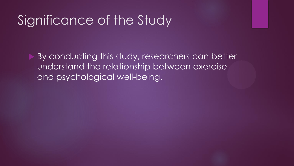#### Significance of the Study

 By conducting this study, researchers can better understand the relationship between exercise and psychological well-being.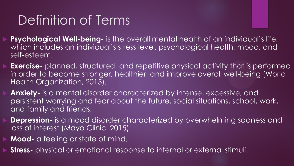## Definition of Terms

- **Psychological Well-being-** is the overall mental health of an individual's life, which includes an individual's stress level, psychological health, mood, and self-esteem.
- **Exercise-** planned, structured, and repetitive physical activity that is performed in order to become stronger, healthier, and improve overall well-being (World Health Organization, 2015).
- **Anxiety-** is a mental disorder characterized by intense, excessive, and persistent worrying and fear about the future, social situations, school, work, and family and friends.
- **Depression-** is a mood disorder characterized by overwhelming sadness and loss of interest (Mayo Clinic, 2015).
- **Mood-** a feeling or state of mind.
- **Stress-** physical or emotional response to internal or external stimuli.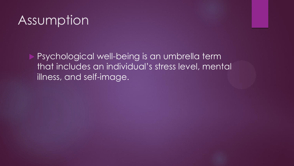#### Assumption

 Psychological well-being is an umbrella term that includes an individual's stress level, mental illness, and self-image.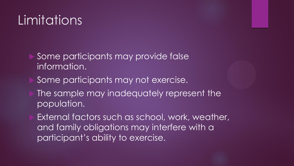## Limitations

- Some participants may provide false information.
- Some participants may not exercise.
- The sample may inadequately represent the population.
- External factors such as school, work, weather, and family obligations may interfere with a participant's ability to exercise.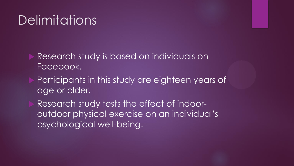#### **Delimitations**

- Research study is based on individuals on Facebook.
- Participants in this study are eighteen years of age or older.
- Research study tests the effect of indooroutdoor physical exercise on an individual's psychological well-being.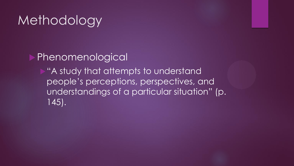#### **Methodology**

Phenomenological

"A study that attempts to understand people's perceptions, perspectives, and understandings of a particular situation" (p. 145).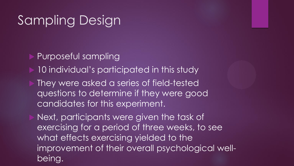#### Sampling Design

Purposeful sampling

10 individual's participated in this study

 They were asked a series of field-tested questions to determine if they were good candidates for this experiment.

 Next, participants were given the task of exercising for a period of three weeks, to see what effects exercising yielded to the improvement of their overall psychological wellbeing.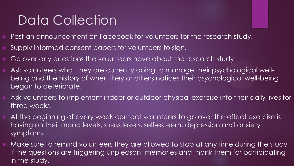## Data Collection

- Post an announcement on Facebook for volunteers for the research study.
- Supply informed consent papers for volunteers to sign.
- Go over any questions the volunteers have about the research study.
- Ask volunteers what they are currently doing to manage their psychological wellbeing and the history of when they or others notices their psychological well-being began to deteriorate.
- Ask volunteers to implement indoor or outdoor physical exercise into their daily lives for three weeks.
- At the beginning of every week contact volunteers to go over the effect exercise is having on their mood levels, stress levels, self-esteem, depression and anxiety symptoms.
- Make sure to remind volunteers they are allowed to stop at any time during the study if the questions are triggering unpleasant memories and thank them for participating in the study.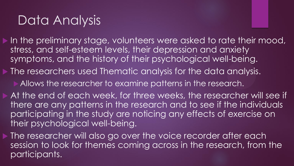## Data Analysis

- In the preliminary stage, volunteers were asked to rate their mood, stress, and self-esteem levels, their depression and anxiety symptoms, and the history of their psychological well-being.
- The researchers used Thematic analysis for the data analysis.
	- Allows the researcher to examine patterns in the research.
	- At the end of each week, for three weeks, the researcher will see if there are any patterns in the research and to see if the individuals participating in the study are noticing any effects of exercise on their psychological well-being.
- **The researcher will also go over the voice recorder after each** session to look for themes coming across in the research, from the participants.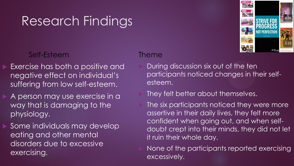#### Self-Esteem

- Exercise has both a positive and negative effect on individual's suffering from low self-esteem.
- A person may use exercise in a way that is damaging to the physiology.
- Some individuals may develop eating and other mental disorders due to excessive exercising.

#### Theme

 During discussion six out of the ten participants noticed changes in their selfesteem.

#### They felt better about themselves.

 The six participants noticed they were more assertive in their daily lives, they felt more confident when going out, and when selfdoubt crept into their minds, they did not let it ruin their whole day.

 None of the participants reported exercising excessively.

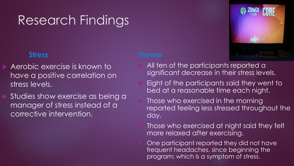#### **Stress**

- Aerobic exercise is known to have a positive correlation on stress levels.
- Studies show exercise as being a manager of stress instead of a corrective intervention.

- All ten of the participants reported a significant decrease in their stress levels.
- Eight of the participants said they went to bed at a reasonable time each night.
- Those who exercised in the morning reported feeling less stressed throughout the day.
- Those who exercised at night said they felt more relaxed after exercising.
- One participant reported they did not have frequent headaches, since beginning the program; which is a symptom of stress.

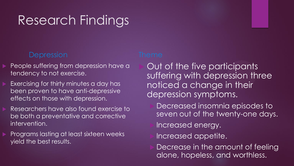#### **Depression**

- People suffering from depression have a tendency to not exercise.
- Exercising for thirty minutes a day has been proven to have anti-depressive effects on those with depression.
- Researchers have also found exercise to be both a preventative and corrective intervention.
- Programs lasting at least sixteen weeks yield the best results.

 Out of the five participants suffering with depression three noticed a change in their depression symptoms.

- Decreased insomnia episodes to seven out of the twenty-one days.
- Increased energy.
- Increased appetite.
- Decrease in the amount of feeling alone, hopeless, and worthless.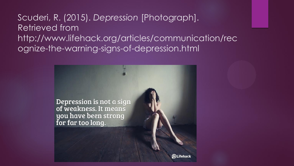Scuderi, R. (2015). *Depression* [Photograph]. Retrieved from http://www.lifehack.org/articles/communication/rec ognize-the-warning-signs-of-depression.html

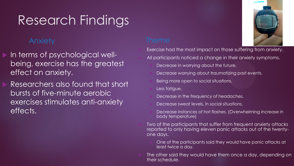#### Anxiety

- In terms of psychological wellbeing, exercise has the greatest effect on anxiety.
- Researchers also found that short bursts of five-minute aerobic exercises stimulates anti-anxiety effects.

 Exercise had the most impact on those suffering from anxiety. All participants noticed a change in their anxiety symptoms. Decrease in worrying about the future. Decrease worrying about traumatizing past events. Being more open to social situations. Less fatigue. Decrease in the frequency of headaches. Decrease sweat levels, in social situations.

 Decrease instances of hot flashes. (Overwhelming increase in body temperature)

 Two of the participants that suffer from frequent anxiety attacks reported to only having eleven panic attacks out of the twentyone days.

- One of the participants said they would have panic attacks at least twice a day.
- The other said they would have them once a day, depending on their schedule.

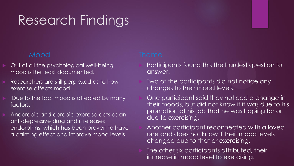#### Mood

- Out of all the psychological well-being mood is the least documented.
- Researchers are still perplexed as to how exercise affects mood.
- Due to the fact mood is affected by many factors.
- Anaerobic and aerobic exercise acts as an anti-depressive drug and it releases endorphins, which has been proven to have a calming effect and improve mood levels.

- Participants found this the hardest question to answer.
- Two of the participants did not notice any changes to their mood levels.

 One participant said they noticed a change in their moods, but did not know if it was due to his promotion at his job that he was hoping for or due to exercising.

 Another participant reconnected with a loved one and does not know if their mood levels changed due to that or exercising.

 The other six participants attributed, their increase in mood level to exercising.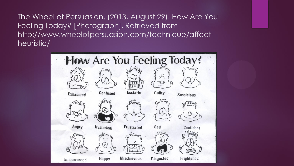The Wheel of Persuasion. (2013, August 29). How Are You Feeling Today? [Photograph]. Retrieved from http://www.wheelofpersuasion.com/technique/affectheuristic/

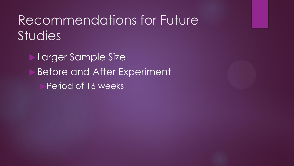### Recommendations for Future **Studies**

 Larger Sample Size Before and After Experiment Period of 16 weeks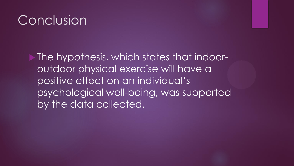#### Conclusion

 The hypothesis, which states that indooroutdoor physical exercise will have a positive effect on an individual's psychological well-being, was supported by the data collected.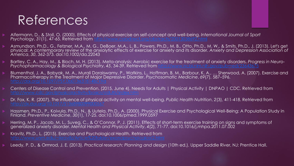### References

- Alfermann, D., & Stoll, O. (2000). Effects of physical exercise on self-concept and well-being. *International Journal of Sport Psychology, 31(1), 47-65. Retrieved from*
- Asmundson, Ph.D., G., Fetzner, M.A., M. G., DeBoer, M.A., L. B., Powers, Ph.D., M. B., Otto, Ph.D., M. W., & Smits, Ph.D., J. (2013). Let's get physical: A contemporary review of the anxiolytic effects of exercise for anxiety and its disorder. *Anxiety and Depression Association of America*, *30*, 362-373. doi:10.1002/da.22043
- Bartley, C. A., Hay, M., & Bloch, M. H. (2013). Meta-analysis: Aerobic exercise for the treatment of anxiety disorders. *Progress in Neuro-Psychopharmacology & Biological Psychiatry*, *45*, 34-39. Retrieved from <http://www.ncbi.nlm.nih.gov/pubmed/23643675>
- Blumenthal, J. A., Babyak, M. A., Murali Doraiswamy, P., Watkins, L., Hoffman, B. M., Barbour, K. A., ... Sherwood, A. (2007). Exercise and Pharmacotherapy in the Treatment of Major Depressive Disorder. *Psychosomatic Medicine*, *69*(7), 587–596.
- Centers of Disease Control and Prevention. (2015, June 4). Needs for Adults | Physical Activity | DNPAO | CDC. Retrieved from
- Dr. Fox, K. R. (2007). The influence of physical activity on mental well-being. *Public Health Nutrition*, *2*(3), 411-418. Retrieved from
- Hassmen, Ph.D., P., Koivula, Ph.D., N., & Uutela, Ph.D., A. (2000). Physical Exercise and Psychological Well-Being: A Population Study in Finland. *Preventive Medicine*, *30*(1), 17-25. doi:10.1006/pmed.1999.0597
- Herring, M. P., Jacob, M. L., Suveg, C., & O'Connor, P. J. (2011). Effects of short-term exercise training on signs and symptoms of generalized anxiety disorder. *Mental Health and Physical Activity*, *4*(2), 71-77. doi:10.1016/j.mhpa.2011.07.002
- Kravitz, Ph.D., L. (2015). Exercise and Psychological Health. Retrieved from
- Leedy, P. D., & Ormrod, J. E. (2013). *Practical research: Planning and design* (10th ed.). Upper Saddle River, NJ: Prentice Hall.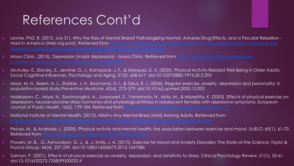## References Cont'd

- Levine, PhD, B. (2013, July 31). Why the Rise of Mental Illness? Pathologizing Normal, Adverse Drug Effects, and a Peculiar Rebellion Mad In America [Web log post]. Retrieved from [http://www.madinamerica.com/2013/07/why-the-dramatic-rise-of-mental-illness-](http://www.madinamerica.com/2013/07/why-the-dramatic-rise-of-mental-illness-diseasing-normal-behaviors-drug-adverse-effects-and-a-peculiar-rebellion/)
- Mayo Clinic. (2015). Depression (major depression) Mayo Clinic. Retrieved from [http://www.mayoclinic.org/diseases-](http://www.mayoclinic.org/diseases-conditions/depression/basics/definition/con-20032977)
- McAuley, E., Elavsky, S., Jerome, G. J., Konopack, J. F., & Marquez, D. X. (2005). Physical Activity-Related Well-Being in Older Adults: Social Cognitive Influences. *Psychology and Aging*, *31*(5), 608-617. doi:10.1037/0882-7974.20.2.295
- Moor, M. H., Beem, A. L., Stubbe, J. H., Boomsma, D. I., & Geus, E. J. (2006). Regular exercise, anxiety, depression and personality: A population-based study.*Preventive Medicine*, *42*(4), 273–279. doi:10.1016/j.ypmed.2005.12.002
- Nabkasorn, C., Miyai, N., Sootmongkol, A., Junprasert, S., Yamamoto, H., Arita, M., & Miyashita, K. (2005). Effects of physical exercise on depression, neuroendocrine stress hormones and physiological fitness in adolescent females with depressive symptoms. *European Journal of Public Health*, *16*(2), 179-184. Retrieved from <http://eurpub.oxfordjournals.org/content/16/2/179>
- National Institute of Mental Health. (2015). NIMH » Any Mental Illness (AMI) Among Adults. Retrieved from
- Peluso, M., & Andrade, L. (2005). Physical activity and mental health: the association between exercise and mood. *SciELO*, *60*(1), 61-70. Retrieved from <http://dx.doi.org/10.1590/S1807-59322005000100012>
- Powers, M. B., .G. Asmundson, G. J., & .J. Smits, J. A. (2015). Exercise for Mood and Anxiety Disorders: The State-of-the Science. *Taylor & Francis Group*, *44*(4), 237-239. doi:10.1080/16506073.2015.1047286
- Salmon, P. (2001). Effects of physical exercise on anxiety, depression, and sensitivity to stress. *Clinical Psychology Review*, *21*(1), 33-61. doi:10.1016/S0272-7358(99)00032-X